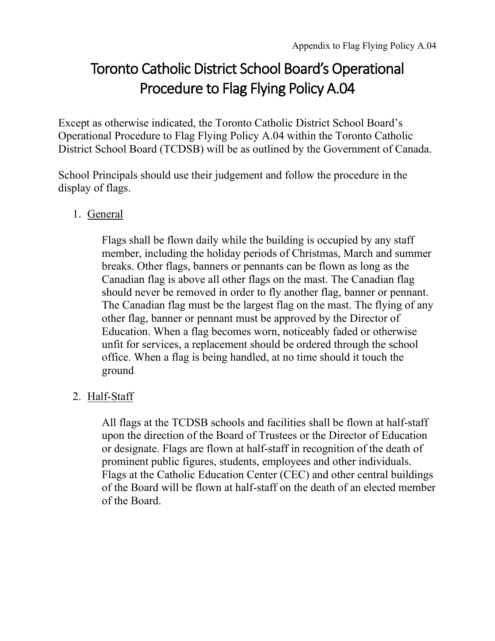## Procedure to Flag Flying Policy A.04 Toronto Catholic District School Board's Operational

 District School Board (TCDSB) will be as outlined by the Government of Canada. Except as otherwise indicated, the Toronto Catholic District School Board's Operational Procedure to Flag Flying Policy A.04 within the Toronto Catholic

School Principals should use their judgement and follow the procedure in the display of flags.

## 1. General

 Flags shall be flown daily while the building is occupied by any staff other flag, banner or pennant must be approved by the Director of Education. When a flag becomes worn, noticeably faded or otherwise member, including the holiday periods of Christmas, March and summer breaks. Other flags, banners or pennants can be flown as long as the Canadian flag is above all other flags on the mast. The Canadian flag should never be removed in order to fly another flag, banner or pennant. The Canadian flag must be the largest flag on the mast. The flying of any unfit for services, a replacement should be ordered through the school office. When a flag is being handled, at no time should it touch the ground

## 2. Half-Staff

 upon the direction of the Board of Trustees or the Director of Education or designate. Flags are flown at half-staff in recognition of the death of Flags at the Catholic Education Center (CEC) and other central buildings of the Board. All flags at the TCDSB schools and facilities shall be flown at half-staff prominent public figures, students, employees and other individuals. of the Board will be flown at half-staff on the death of an elected member